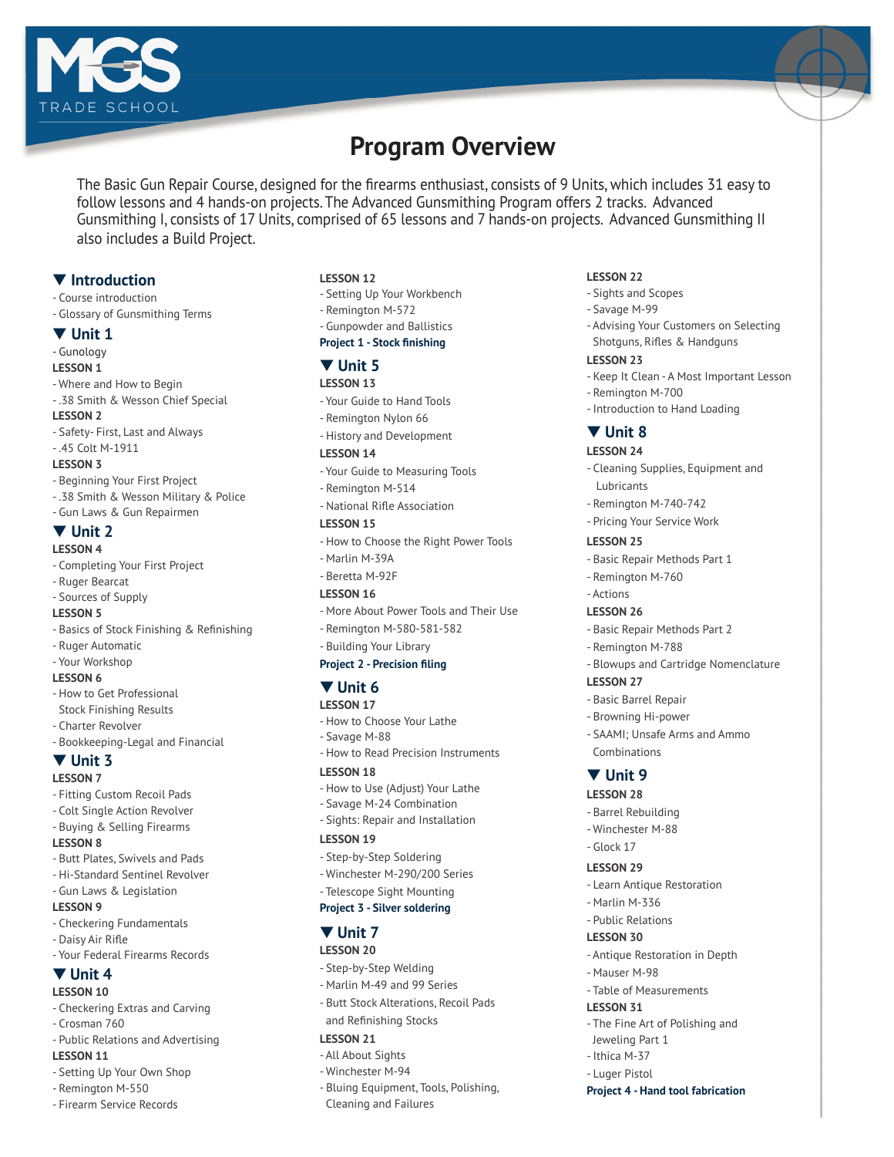



The Basic Gun Repair Course, designed for the firearms enthusiast, consists of 9 Units, which includes 31 easy to follow lessons and 4 hands-on projects. The Advanced Gunsmithing Program offers 2 tracks. Advanced Gunsmithing I, consists of 17 Units, comprised of 65 lessons and 7 hands-on projects. Advanced Gunsmithing II also includes a Build Project.

## $\P$  Introduction

- Course introduction
- Glossary of Gunsmithing Terms

#### $\blacktriangledown$  Unit 1

#### - Gunology

- **LESSON 1**
- Where and How to Begin
- .38 Smith & Wesson Chief Special

## **LESSON 2**

- Safety- First, Last and Always
- .45 Colt M-1911 **LESSON 3**

# - Beginning Your First Project

- .38 Smith & Wesson Military & Police
- Gun Laws & Gun Repairmen
- ▼ Unit 2

## **LESSON 4**

- Completing Your First Project
- Ruger Bearcat
- Sources of Supply

## **LESSON 5**

- Basics of Stock Finishing & Refinishing
- Ruger Automatic
- Your Workshop

## **LESSON 6**

- How to Get Professional Stock Finishing Results
- Charter Revolver
- Bookkeeping-Legal and Financial

## ▼ Unit 3

## **LESSON 7**

- Fitting Custom Recoil Pads
- Colt Single Action Revolver
- Buying & Selling Firearms

## **LESSON 8**

- Butt Plates, Swivels and Pads
- Hi-Standard Sentinel Revolver
- Gun Laws & Legislation

## **LESSON 9**

- Checkering Fundamentals
- Daisy Air Rifle
- Your Federal Firearms Records

# $\Psi$  Unit 4

- **LESSON 10** - Checkering Extras and Carving
- Crosman 760
- Public Relations and Advertising
- **LESSON 11**
- Setting Up Your Own Shop

## - Remington M-550

- Firearm Service Records

#### **LESSON 12**

- Setting Up Your Workbench
- Remington M-572
- Gunpowder and Ballistics
- **Project 1 Stock finishing**

## t **Unit 5**

## **LESSON 13**

- Your Guide to Hand Tools
- Remington Nylon 66
- History and Development

#### **LESSON 14**

- Your Guide to Measuring Tools
- Remington M-514
- National Rifle Association

#### **LESSON 15**

- How to Choose the Right Power Tools
- Marlin M-39A
- Beretta M-92F

## **LESSON 16**

- More About Power Tools and Their Use
- Remington M-580-581-582
- Building Your Library

### **Project 2 - Precision filing**

## $\Psi$  Unit 6

- **LESSON 17**
- How to Choose Your Lathe
- Savage M-88
- How to Read Precision Instruments

## **LESSON 18**

- How to Use (Adjust) Your Lathe
- Savage M-24 Combination
- Sights: Repair and Installation

#### **LESSON 19**

- Step-by-Step Soldering
- Winchester M-290/200 Series
- Telescope Sight Mounting

# **Project 3 - Silver soldering**

## ▼ Unit 7

- **LESSON 20**
- Step-by-Step Welding
- Marlin M-49 and 99 Series
- Butt Stock Alterations, Recoil Pads and Refinishing Stocks

## **LESSON 21**

- All About Sights
- Winchester M-94
- Bluing Equipment, Tools, Polishing, Cleaning and Failures

#### **LESSON 22**

- Sights and Scopes

- Remington M-700

- Introduction to Hand Loading

- Cleaning Supplies, Equipment and

- Advising Your Customers on Selecting Shotguns, Rifles & Handguns

- Keep It Clean - A Most Important Lesson

- Savage M-99

**LESSON 23**

▼ Unit 8 **LESSON 24**

Lubricants

**LESSON 25**

- Actions **LESSON 26**

**LESSON 27** - Basic Barrel Repair - Browning Hi-power

 Combinations ▼ Unit 9 **LESSON 28** - Barrel Rebuilding - Winchester M-88 - Glock 17 **LESSON 29**

- Marlin M-336 - Public Relations **LESSON 30**

- Mauser M-98

 Jeweling Part 1 - Ithica M-37 - Luger Pistol

**LESSON 31**

- Remington M-760

- Remington M-788

- Remington M-740-742 - Pricing Your Service Work

- Basic Repair Methods Part 1

- Basic Repair Methods Part 2

- Blowups and Cartridge Nomenclature

- SAAMI; Unsafe Arms and Ammo

- Learn Antique Restoration

- Antique Restoration in Depth

- The Fine Art of Polishing and

**Project 4 - Hand tool fabrication**

- Table of Measurements